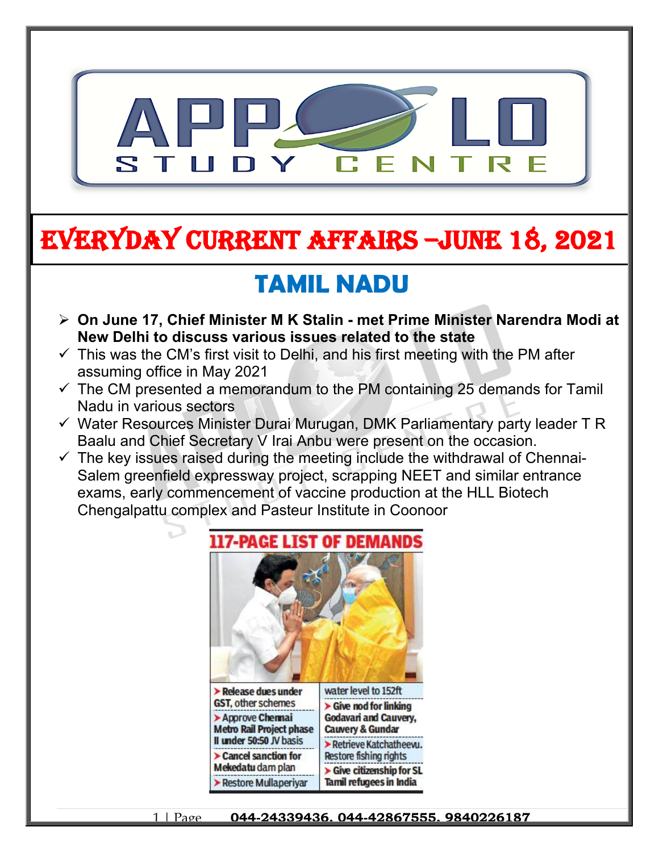

# **EVERYDAY CURRENT AFFAIRS –jUNE 18, 2021**

## **TAMIL NADU**

**-**

- **On June 17, Chief Minister M K Stalin met Prime Minister Narendra Modi at New Delhi to discuss various issues related to the state**
- $\checkmark$  This was the CM's first visit to Delhi, and his first meeting with the PM after assuming office in May 2021
- $\checkmark$  The CM presented a memorandum to the PM containing 25 demands for Tamil Nadu in various sectors
- $\checkmark$  Water Resources Minister Durai Murugan, DMK Parliamentary party leader T R Baalu and Chief Secretary V Irai Anbu were present on the occasion.
- $\checkmark$  The key issues raised during the meeting include the withdrawal of Chennai-Salem greenfield expressway project, scrapping NEET and similar entrance exams, early commencement of vaccine production at the HLL Biotech Chengalpattu complex and Pasteur Institute in Coonoor

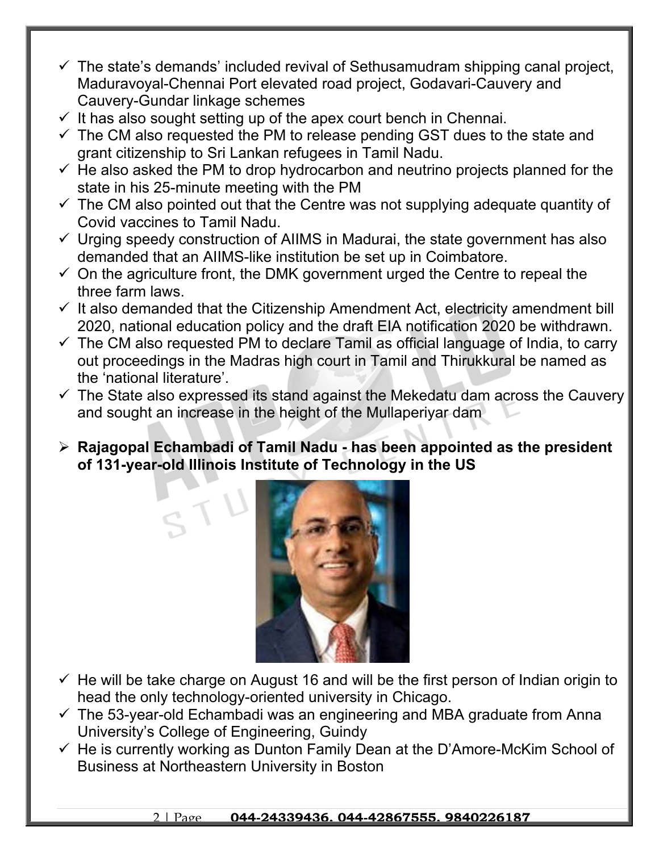- $\checkmark$  The state's demands' included revival of Sethusamudram shipping canal project, Maduravoyal-Chennai Port elevated road project, Godavari-Cauvery and Cauvery-Gundar linkage schemes
- $\checkmark$  It has also sought setting up of the apex court bench in Chennai.
- $\checkmark$  The CM also requested the PM to release pending GST dues to the state and grant citizenship to Sri Lankan refugees in Tamil Nadu.
- $\checkmark$  He also asked the PM to drop hydrocarbon and neutrino projects planned for the state in his 25-minute meeting with the PM
- $\checkmark$  The CM also pointed out that the Centre was not supplying adequate quantity of Covid vaccines to Tamil Nadu.
- $\checkmark$  Urging speedy construction of AIIMS in Madurai, the state government has also demanded that an AIIMS-like institution be set up in Coimbatore.
- $\checkmark$  On the agriculture front, the DMK government urged the Centre to repeal the three farm laws.
- $\checkmark$  It also demanded that the Citizenship Amendment Act, electricity amendment bill 2020, national education policy and the draft EIA notification 2020 be withdrawn.
- $\checkmark$  The CM also requested PM to declare Tamil as official language of India, to carry out proceedings in the Madras high court in Tamil and Thirukkural be named as the 'national literature'.
- $\checkmark$  The State also expressed its stand against the Mekedatu dam across the Cauvery and sought an increase in the height of the Mullaperiyar dam
- **Rajagopal Echambadi of Tamil Nadu has been appointed as the president of 131-year-old Illinois Institute of Technology in the US**



- $\checkmark$  He will be take charge on August 16 and will be the first person of Indian origin to head the only technology-oriented university in Chicago.
- $\checkmark$  The 53-year-old Echambadi was an engineering and MBA graduate from Anna University's College of Engineering, Guindy
- $\checkmark$  He is currently working as Dunton Family Dean at the D'Amore-McKim School of Business at Northeastern University in Boston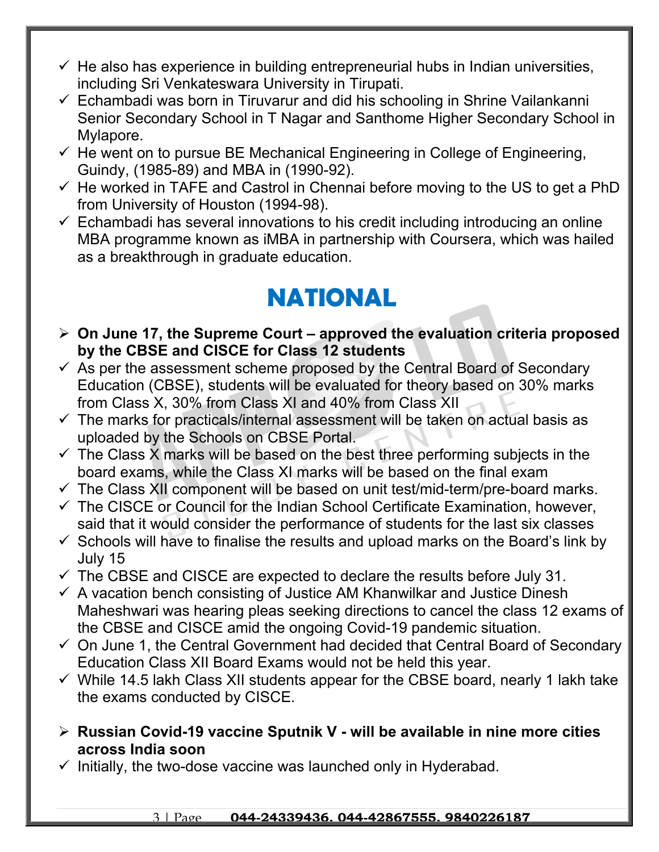- $\checkmark$  He also has experience in building entrepreneurial hubs in Indian universities, including Sri Venkateswara University in Tirupati.
- $\checkmark$  Echambadi was born in Tiruvarur and did his schooling in Shrine Vailankanni Senior Secondary School in T Nagar and Santhome Higher Secondary School in Mylapore.
- $\checkmark$  He went on to pursue BE Mechanical Engineering in College of Engineering, Guindy, (1985-89) and MBA in (1990-92).
- $\checkmark$  He worked in TAFE and Castrol in Chennai before moving to the US to get a PhD from University of Houston (1994-98).
- $\checkmark$  Echambadi has several innovations to his credit including introducing an online MBA programme known as iMBA in partnership with Coursera, which was hailed as a breakthrough in graduate education.

### **NATIONAL**

- **On June 17, the Supreme Court approved the evaluation criteria proposed by the CBSE and CISCE for Class 12 students**
- $\checkmark$  As per the assessment scheme proposed by the Central Board of Secondary Education (CBSE), students will be evaluated for theory based on 30% marks from Class X, 30% from Class XI and 40% from Class XII
- $\checkmark$  The marks for practicals/internal assessment will be taken on actual basis as uploaded by the Schools on CBSE Portal.
- $\checkmark$  The Class X marks will be based on the best three performing subjects in the board exams, while the Class XI marks will be based on the final exam
- $\checkmark$  The Class XII component will be based on unit test/mid-term/pre-board marks.
- $\checkmark$  The CISCE or Council for the Indian School Certificate Examination, however, said that it would consider the performance of students for the last six classes
- $\checkmark$  Schools will have to finalise the results and upload marks on the Board's link by July 15
- $\checkmark$  The CBSE and CISCE are expected to declare the results before July 31.
- $\checkmark$  A vacation bench consisting of Justice AM Khanwilkar and Justice Dinesh Maheshwari was hearing pleas seeking directions to cancel the class 12 exams of the CBSE and CISCE amid the ongoing Covid-19 pandemic situation.
- $\checkmark$  On June 1, the Central Government had decided that Central Board of Secondary Education Class XII Board Exams would not be held this year.
- $\checkmark$  While 14.5 lakh Class XII students appear for the CBSE board, nearly 1 lakh take the exams conducted by CISCE.
- **Russian Covid-19 vaccine Sputnik V will be available in nine more cities across India soon**
- $\checkmark$  Initially, the two-dose vaccine was launched only in Hyderabad.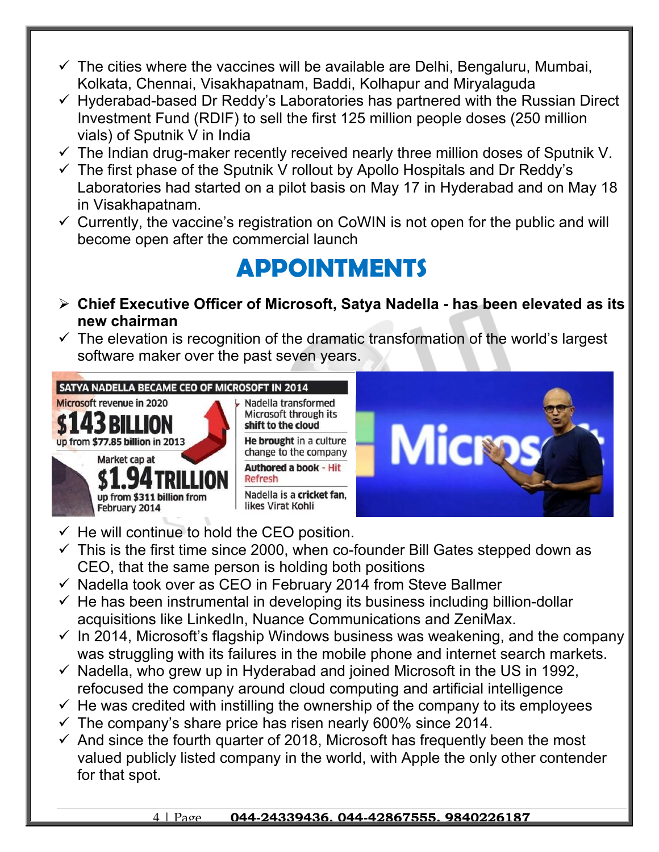- $\checkmark$  The cities where the vaccines will be available are Delhi, Bengaluru, Mumbai, Kolkata, Chennai, Visakhapatnam, Baddi, Kolhapur and Miryalaguda
- $\checkmark$  Hyderabad-based Dr Reddy's Laboratories has partnered with the Russian Direct Investment Fund (RDIF) to sell the first 125 million people doses (250 million vials) of Sputnik V in India
- $\checkmark$  The Indian drug-maker recently received nearly three million doses of Sputnik V.
- $\checkmark$  The first phase of the Sputnik V rollout by Apollo Hospitals and Dr Reddy's Laboratories had started on a pilot basis on May 17 in Hyderabad and on May 18 in Visakhapatnam.
- $\checkmark$  Currently, the vaccine's registration on CoWIN is not open for the public and will become open after the commercial launch

### **APPOINTMENTS**

- **Chief Executive Officer of Microsoft, Satya Nadella has been elevated as its new chairman**
- $\checkmark$  The elevation is recognition of the dramatic transformation of the world's largest software maker over the past seven years.



- $\checkmark$  He will continue to hold the CEO position.
- $\checkmark$  This is the first time since 2000, when co-founder Bill Gates stepped down as CEO, that the same person is holding both positions
- $\checkmark$  Nadella took over as CEO in February 2014 from Steve Ballmer
- $\checkmark$  He has been instrumental in developing its business including billion-dollar acquisitions like LinkedIn, Nuance Communications and ZeniMax.
- $\checkmark$  In 2014, Microsoft's flagship Windows business was weakening, and the company was struggling with its failures in the mobile phone and internet search markets.
- $\checkmark$  Nadella, who grew up in Hyderabad and joined Microsoft in the US in 1992, refocused the company around cloud computing and artificial intelligence
- $\checkmark$  He was credited with instilling the ownership of the company to its employees
- $\checkmark$  The company's share price has risen nearly 600% since 2014.
- $\checkmark$  And since the fourth quarter of 2018, Microsoft has frequently been the most valued publicly listed company in the world, with Apple the only other contender for that spot.